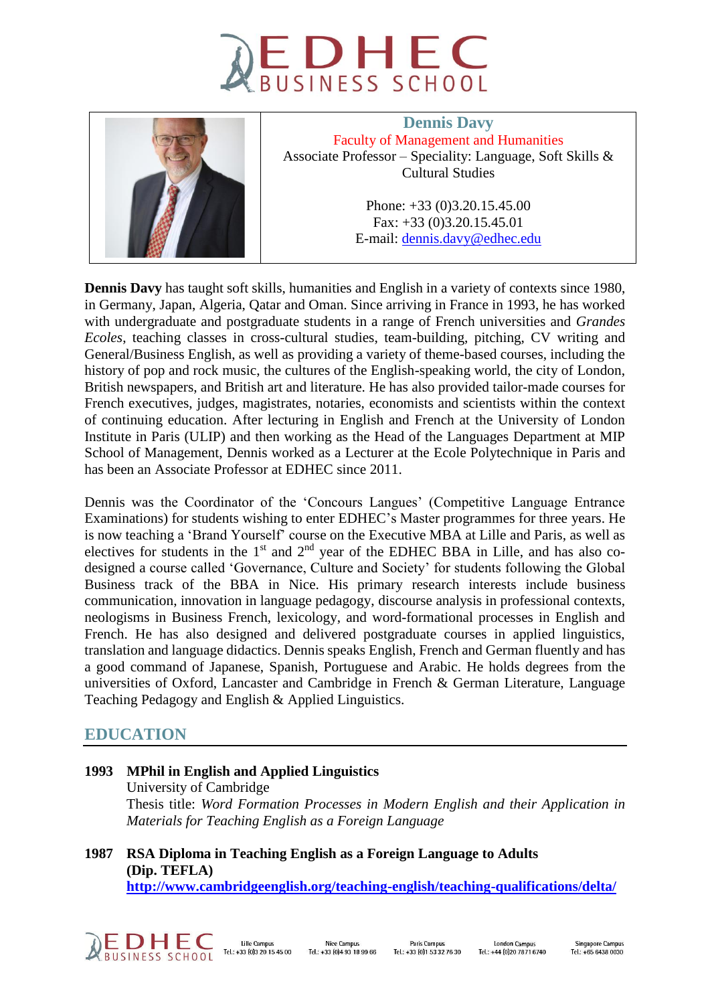



**Dennis Davy** Faculty of Management and Humanities Associate Professor – Speciality: Language, Soft Skills & Cultural Studies

> Phone: +33 (0)3.20.15.45.00 Fax: +33 (0)3.20.15.45.01 E-mail: [dennis.davy@edhec.edu](mailto:dennis.davy@edhec.edu)

**Dennis Davy** has taught soft skills, humanities and English in a variety of contexts since 1980, in Germany, Japan, Algeria, Qatar and Oman. Since arriving in France in 1993, he has worked with undergraduate and postgraduate students in a range of French universities and *Grandes Ecoles*, teaching classes in cross-cultural studies, team-building, pitching, CV writing and General/Business English, as well as providing a variety of theme-based courses, including the history of pop and rock music, the cultures of the English-speaking world, the city of London, British newspapers, and British art and literature. He has also provided tailor-made courses for French executives, judges, magistrates, notaries, economists and scientists within the context of continuing education. After lecturing in English and French at the University of London Institute in Paris (ULIP) and then working as the Head of the Languages Department at MIP School of Management, Dennis worked as a Lecturer at the Ecole Polytechnique in Paris and has been an Associate Professor at EDHEC since 2011.

Dennis was the Coordinator of the 'Concours Langues' (Competitive Language Entrance Examinations) for students wishing to enter EDHEC's Master programmes for three years. He is now teaching a 'Brand Yourself' course on the Executive MBA at Lille and Paris, as well as electives for students in the  $1<sup>st</sup>$  and  $2<sup>nd</sup>$  year of the EDHEC BBA in Lille, and has also codesigned a course called 'Governance, Culture and Society' for students following the Global Business track of the BBA in Nice. His primary research interests include business communication, innovation in language pedagogy, discourse analysis in professional contexts, neologisms in Business French, lexicology, and word-formational processes in English and French. He has also designed and delivered postgraduate courses in applied linguistics, translation and language didactics. Dennis speaks English, French and German fluently and has a good command of Japanese, Spanish, Portuguese and Arabic. He holds degrees from the universities of Oxford, Lancaster and Cambridge in French & German Literature, Language Teaching Pedagogy and English & Applied Linguistics.

# **EDUCATION**

**1993 MPhil in English and Applied Linguistics** University of Cambridge Thesis title: *Word Formation Processes in Modern English and their Application in Materials for Teaching English as a Foreign Language*

**1987 RSA Diploma in Teaching English as a Foreign Language to Adults (Dip. TEFLA) <http://www.cambridgeenglish.org/teaching-english/teaching-qualifications/delta/>**



Nice Campus Tel.: +33 (0) 4 93 18 99 66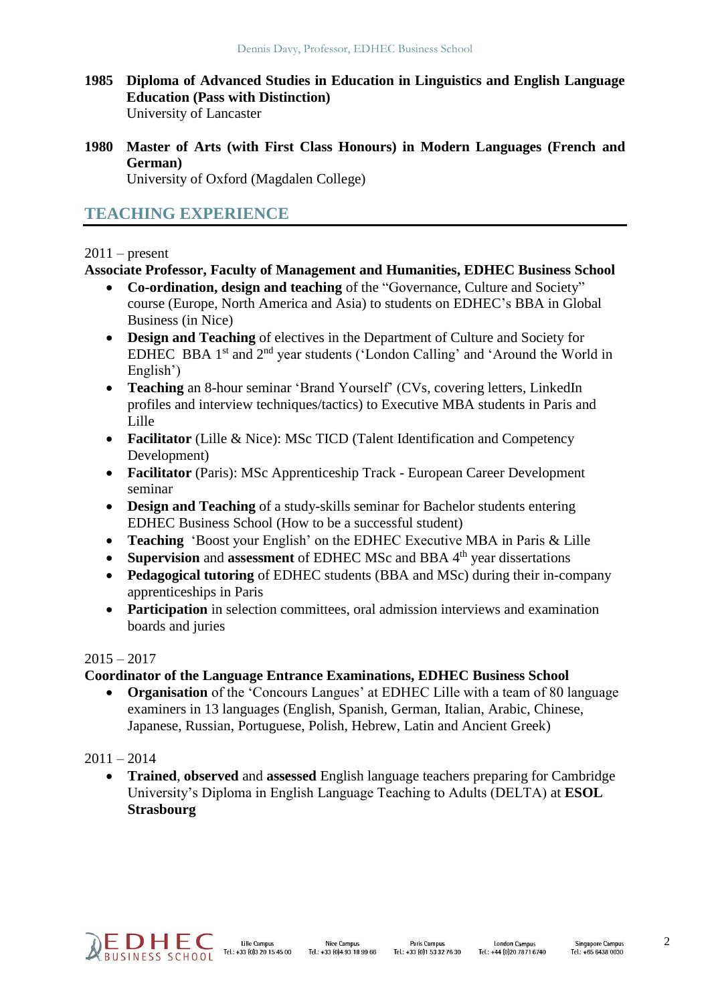- **1985 Diploma of Advanced Studies in Education in Linguistics and English Language Education (Pass with Distinction)** University of Lancaster
- **1980 Master of Arts (with First Class Honours) in Modern Languages (French and German)**

University of Oxford (Magdalen College)

# **TEACHING EXPERIENCE**

### $2011$  – present

### **Associate Professor, Faculty of Management and Humanities, EDHEC Business School**

- **Co-ordination, design and teaching** of the "Governance, Culture and Society" course (Europe, North America and Asia) to students on EDHEC's BBA in Global Business (in Nice)
- **Design and Teaching** of electives in the Department of Culture and Society for EDHEC BBA  $1<sup>st</sup>$  and  $2<sup>nd</sup>$  year students ('London Calling' and 'Around the World in English')
- **Teaching** an 8-hour seminar 'Brand Yourself' (CVs, covering letters, LinkedIn profiles and interview techniques/tactics) to Executive MBA students in Paris and Lille
- **Facilitator** (Lille & Nice): MSc TICD (Talent Identification and Competency Development)
- **Facilitator** (Paris): MSc Apprenticeship Track European Career Development seminar
- **Design and Teaching** of a study-skills seminar for Bachelor students entering EDHEC Business School (How to be a successful student)
- **Teaching** 'Boost your English' on the EDHEC Executive MBA in Paris & Lille
- Supervision and assessment of EDHEC MSc and BBA 4<sup>th</sup> year dissertations
- **Pedagogical tutoring** of EDHEC students (BBA and MSc) during their in-company apprenticeships in Paris
- Participation in selection committees, oral admission interviews and examination boards and juries

### $2015 - 2017$

## **Coordinator of the Language Entrance Examinations, EDHEC Business School**

 **Organisation** of the 'Concours Langues' at EDHEC Lille with a team of 80 language examiners in 13 languages (English, Spanish, German, Italian, Arabic, Chinese, Japanese, Russian, Portuguese, Polish, Hebrew, Latin and Ancient Greek)

## $2011 - 2014$

 **Trained**, **observed** and **assessed** English language teachers preparing for Cambridge University's Diploma in English Language Teaching to Adults (DELTA) at **ESOL Strasbourg**

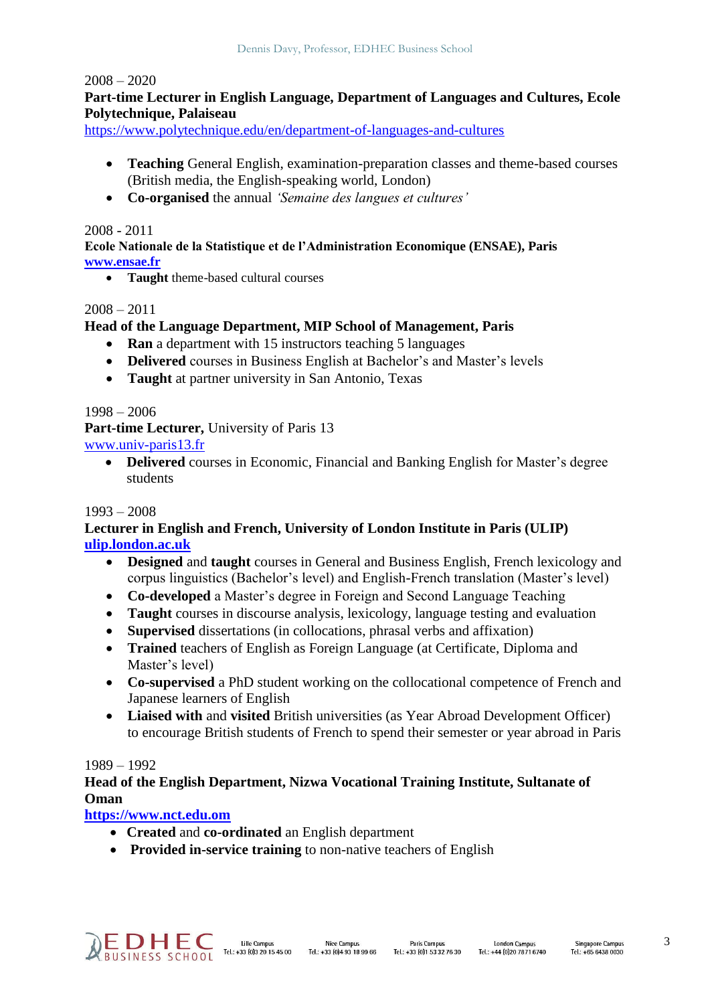#### $2008 - 2020$

## **Part-time Lecturer in English Language, Department of Languages and Cultures, Ecole Polytechnique, Palaiseau**

<https://www.polytechnique.edu/en/department-of-languages-and-cultures>

- **Teaching** General English, examination-preparation classes and theme-based courses (British media, the English-speaking world, London)
- **Co-organised** the annual *'Semaine des langues et cultures'*

#### 2008 - 2011

**Ecole Nationale de la Statistique et de l'Administration Economique (ENSAE), Paris [www.ensae.fr](http://www.ensae.fr/)**

**Taught** theme-based cultural courses

### $2008 - 2011$

### **Head of the Language Department, MIP School of Management, Paris**

- **Ran** a department with 15 instructors teaching 5 languages
- **Delivered** courses in Business English at Bachelor's and Master's levels
- **Taught** at partner university in San Antonio, Texas

#### 1998 – 2006

Part-time Lecturer, University of Paris 13

[www.univ-paris13.fr](http://www.univ-paris13.fr/)

 **Delivered** courses in Economic, Financial and Banking English for Master's degree students

#### 1993 – 2008

#### **Lecturer in English and French, University of London Institute in Paris (ULIP) [ulip.london.ac.uk](https://ulip.london.ac.uk/)**

- **Designed** and **taught** courses in General and Business English, French lexicology and corpus linguistics (Bachelor's level) and English-French translation (Master's level)
- **Co-developed** a Master's degree in Foreign and Second Language Teaching
- **Taught** courses in discourse analysis, lexicology, language testing and evaluation
- **Supervised** dissertations (in collocations, phrasal verbs and affixation)
- **Trained** teachers of English as Foreign Language (at Certificate, Diploma and Master's level)
- **Co-supervised** a PhD student working on the collocational competence of French and Japanese learners of English
- **Liaised with** and **visited** British universities (as Year Abroad Development Officer) to encourage British students of French to spend their semester or year abroad in Paris

#### 1989 – 1992

### **Head of the English Department, Nizwa Vocational Training Institute, Sultanate of Oman**

**[https://www.nct.edu.om](https://www.nct.edu.om/)**

- **Created** and **co-ordinated** an English department
- **Provided in-service training** to non-native teachers of English

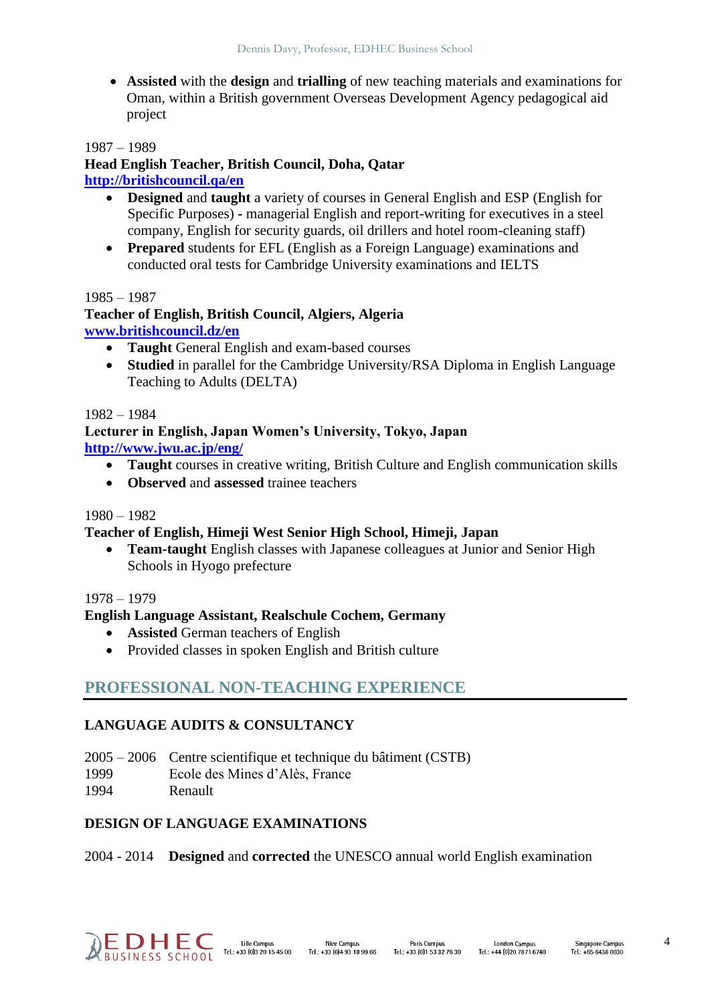**Assisted** with the **design** and **trialling** of new teaching materials and examinations for Oman, within a British government Overseas Development Agency pedagogical aid project

1987 – 1989

#### **Head English Teacher, British Council, Doha, Qatar <http://britishcouncil.qa/en>**

- **Designed** and **taught** a variety of courses in General English and ESP (English for Specific Purposes) **-** managerial English and report-writing for executives in a steel company, English for security guards, oil drillers and hotel room-cleaning staff)
- **Prepared** students for EFL (English as a Foreign Language) examinations and conducted oral tests for Cambridge University examinations and IELTS

### 1985 – 1987

## **Teacher of English, British Council, Algiers, Algeria [www.britishcouncil.dz/en](http://www.britishcouncil.dz/en)**

- **Taught** General English and exam-based courses
- **Studied** in parallel for the Cambridge University/RSA Diploma in English Language Teaching to Adults (DELTA)

### 1982 – 1984

#### **Lecturer in English, Japan Women's University, Tokyo, Japan <http://www.jwu.ac.jp/eng/>**

- **Taught** courses in creative writing, British Culture and English communication skills
- **Observed** and **assessed** trainee teachers

### 1980 – 1982

### **Teacher of English, Himeji West Senior High School, Himeji, Japan**

 **Team-taught** English classes with Japanese colleagues at Junior and Senior High Schools in Hyogo prefecture

### 1978 – 1979

### **English Language Assistant, Realschule Cochem, Germany**

- **Assisted** German teachers of English
- Provided classes in spoken English and British culture

# **PROFESSIONAL NON-TEACHING EXPERIENCE**

## **LANGUAGE AUDITS & CONSULTANCY**

- 2005 2006 Centre scientifique et technique du bâtiment (CSTB)
- 1999 Ecole des Mines d'Alès, France
- 1994 Renault

### **DESIGN OF LANGUAGE EXAMINATIONS**

### 2004 - 2014 **Designed** and **corrected** the UNESCO annual world English examination



Paris Campus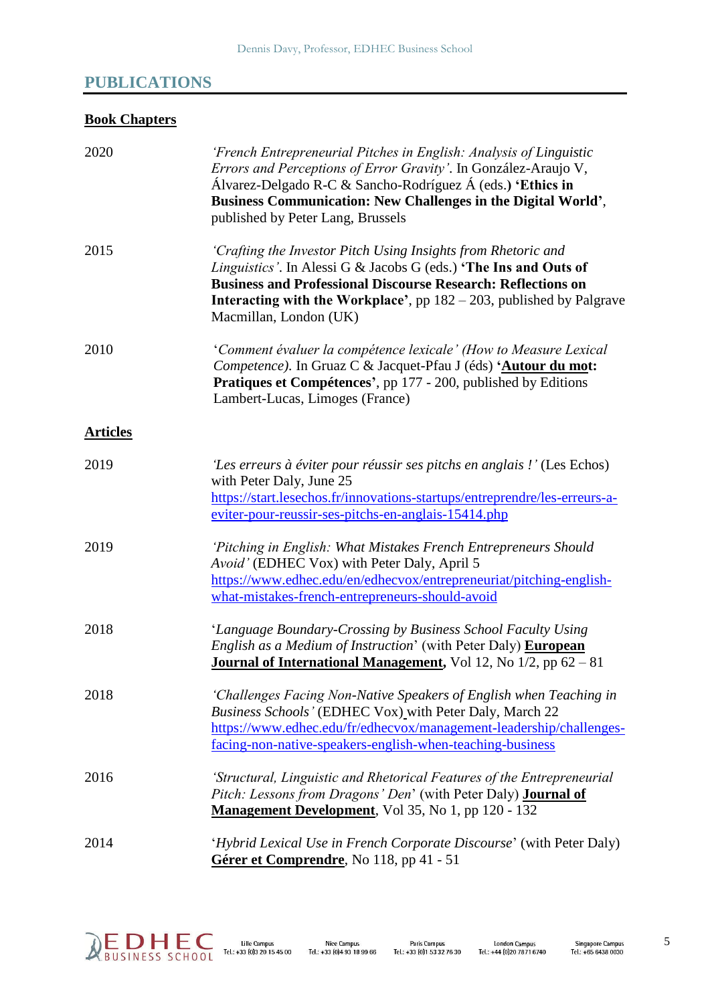# **PUBLICATIONS**

# **Book Chapters**

| 2020            | 'French Entrepreneurial Pitches in English: Analysis of Linguistic<br>Errors and Perceptions of Error Gravity'. In González-Araujo V,<br>Álvarez-Delgado R-C & Sancho-Rodríguez Á (eds.) 'Ethics in<br>Business Communication: New Challenges in the Digital World',<br>published by Peter Lang, Brussels             |
|-----------------|-----------------------------------------------------------------------------------------------------------------------------------------------------------------------------------------------------------------------------------------------------------------------------------------------------------------------|
| 2015            | 'Crafting the Investor Pitch Using Insights from Rhetoric and<br>Linguistics'. In Alessi G & Jacobs G (eds.) 'The Ins and Outs of<br><b>Business and Professional Discourse Research: Reflections on</b><br><b>Interacting with the Workplace'</b> , pp $182 - 203$ , published by Palgrave<br>Macmillan, London (UK) |
| 2010            | 'Comment évaluer la compétence lexicale' (How to Measure Lexical<br>Competence). In Gruaz C & Jacquet-Pfau J (éds) 'Autour du mot:<br>Pratiques et Compétences', pp 177 - 200, published by Editions<br>Lambert-Lucas, Limoges (France)                                                                               |
| <b>Articles</b> |                                                                                                                                                                                                                                                                                                                       |
| 2019            | 'Les erreurs à éviter pour réussir ses pitchs en anglais !' (Les Echos)<br>with Peter Daly, June 25<br>https://start.lesechos.fr/innovations-startups/entreprendre/les-erreurs-a-<br>eviter-pour-reussir-ses-pitchs-en-anglais-15414.php                                                                              |
| 2019            | 'Pitching in English: What Mistakes French Entrepreneurs Should<br>Avoid' (EDHEC Vox) with Peter Daly, April 5<br>https://www.edhec.edu/en/edhecvox/entrepreneuriat/pitching-english-<br>what-mistakes-french-entrepreneurs-should-avoid                                                                              |
| 2018            | 'Language Boundary-Crossing by Business School Faculty Using<br>English as a Medium of Instruction' (with Peter Daly) European<br>Journal of International Management, Vol 12, No 1/2, pp 62 - 81                                                                                                                     |
| 2018            | 'Challenges Facing Non-Native Speakers of English when Teaching in<br>Business Schools' (EDHEC Vox) with Peter Daly, March 22<br>https://www.edhec.edu/fr/edhecvox/management-leadership/challenges-<br>facing-non-native-speakers-english-when-teaching-business                                                     |
| 2016            | 'Structural, Linguistic and Rhetorical Features of the Entrepreneurial<br>Pitch: Lessons from Dragons' Den' (with Peter Daly) <b>Journal of</b><br><b>Management Development</b> , Vol 35, No 1, pp 120 - 132                                                                                                         |
| 2014            | 'Hybrid Lexical Use in French Corporate Discourse' (with Peter Daly)<br>Gérer et Comprendre, No 118, pp 41 - 51                                                                                                                                                                                                       |

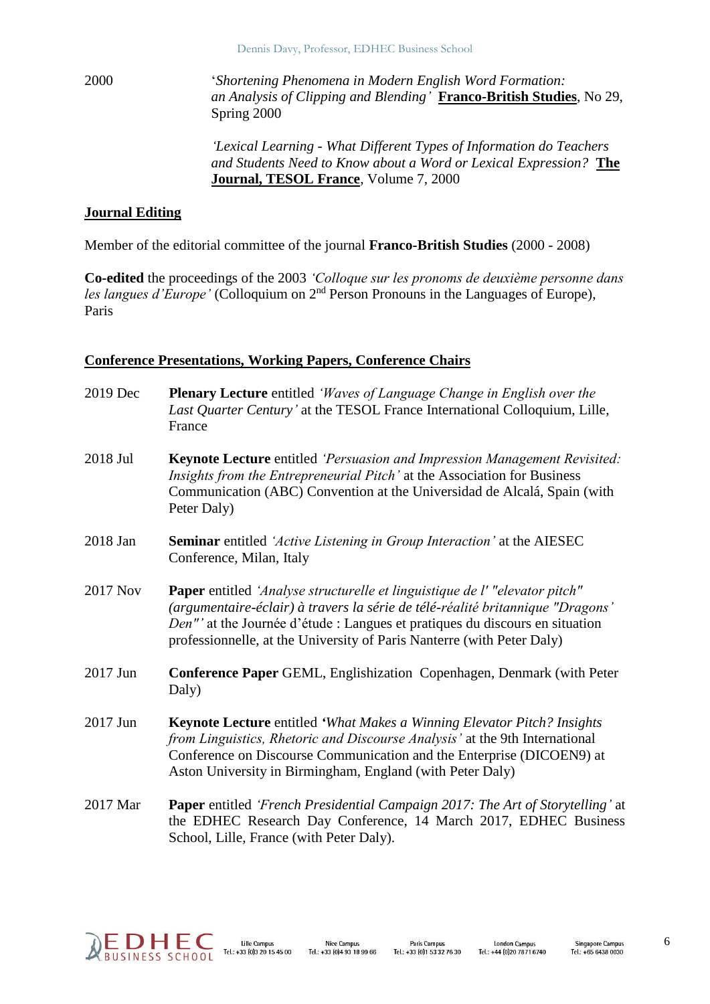2000 '*Shortening Phenomena in Modern English Word Formation: an Analysis of Clipping and Blending'* **Franco-British Studies**, No 29, Spring 2000

> *'Lexical Learning - What Different Types of Information do Teachers and Students Need to Know about a Word or Lexical Expression?* **The Journal, TESOL France**, Volume 7, 2000

#### **Journal Editing**

Member of the editorial committee of the journal **Franco-British Studies** (2000 - 2008)

**Co-edited** the proceedings of the 2003 *'Colloque sur les pronoms de deuxième personne dans*  les langues d'Europe' (Colloquium on 2<sup>nd</sup> Person Pronouns in the Languages of Europe), Paris

#### **Conference Presentations, Working Papers, Conference Chairs**

2019 Dec **Plenary Lecture** entitled *'Waves of Language Change in English over the Last Quarter Century'* at the TESOL France International Colloquium, Lille, France 2018 Jul **Keynote Lecture** entitled *'Persuasion and Impression Management Revisited: Insights from the Entrepreneurial Pitch'* at the Association for Business Communication (ABC) Convention at the Universidad de Alcalá, Spain (with Peter Daly) 2018 Jan **Seminar** entitled *'Active Listening in Group Interaction'* at the AIESEC Conference, Milan, Italy 2017 Nov **Paper** entitled *'Analyse structurelle et linguistique de l' "elevator pitch" (argumentaire-éclair) à travers la série de télé-réalité britannique "Dragons' Den"'* at the Journée d'étude : Langues et pratiques du discours en situation professionnelle, at the University of Paris Nanterre (with Peter Daly) 2017 Jun **Conference Paper** GEML, Englishization Copenhagen, Denmark (with Peter Daly) 2017 Jun **Keynote Lecture** entitled *'What Makes a Winning Elevator Pitch? Insights from Linguistics, Rhetoric and Discourse Analysis'* at the 9th International Conference on Discourse Communication and the Enterprise (DICOEN9) at Aston University in Birmingham, England (with Peter Daly) 2017 Mar **Paper** entitled *'French Presidential Campaign 2017: The Art of Storytelling'* at the EDHEC Research Day Conference, 14 March 2017, EDHEC Business School, Lille, France (with Peter Daly).

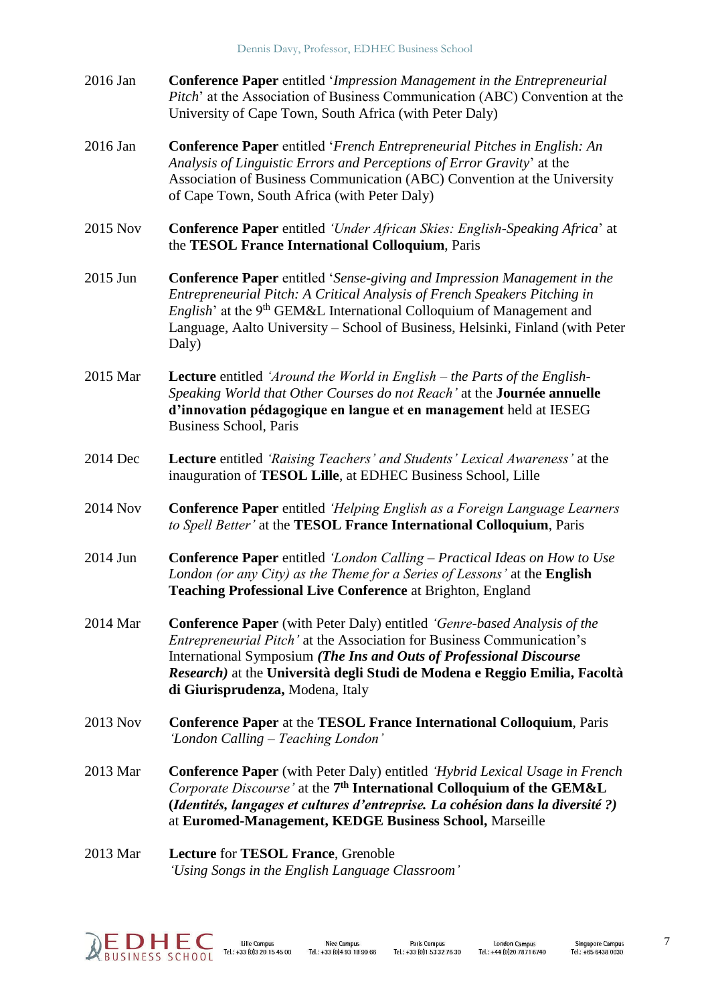- 2016 Jan **Conference Paper** entitled '*Impression Management in the Entrepreneurial Pitch*' at the Association of Business Communication (ABC) Convention at the University of Cape Town, South Africa (with Peter Daly)
- 2016 Jan **Conference Paper** entitled '*French Entrepreneurial Pitches in English: An Analysis of Linguistic Errors and Perceptions of Error Gravity*' at the Association of Business Communication (ABC) Convention at the University of Cape Town, South Africa (with Peter Daly)
- 2015 Nov **Conference Paper** entitled *'Under African Skies: English-Speaking Africa*' at the **TESOL France International Colloquium**, Paris
- 2015 Jun **Conference Paper** entitled '*Sense-giving and Impression Management in the Entrepreneurial Pitch: A Critical Analysis of French Speakers Pitching in English*' at the 9<sup>th</sup> GEM&L International Colloquium of Management and Language, Aalto University – School of Business, Helsinki, Finland (with Peter Daly)
- 2015 Mar **Lecture** entitled *'Around the World in English – the Parts of the English-Speaking World that Other Courses do not Reach'* at the **Journée annuelle d'innovation pédagogique en langue et en management** held at IESEG Business School, Paris
- 2014 Dec **Lecture** entitled *'Raising Teachers' and Students' Lexical Awareness'* at the inauguration of **TESOL Lille**, at EDHEC Business School, Lille
- 2014 Nov **Conference Paper** entitled *'Helping English as a Foreign Language Learners to Spell Better'* at the **TESOL France International Colloquium**, Paris
- 2014 Jun **Conference Paper** entitled *'London Calling – Practical Ideas on How to Use London (or any City) as the Theme for a Series of Lessons'* at the **English Teaching Professional Live Conference** at Brighton, England
- 2014 Mar **Conference Paper** (with Peter Daly) entitled *'Genre-based Analysis of the Entrepreneurial Pitch'* at the Association for Business Communication's International Symposium *(The Ins and Outs of Professional Discourse Research)* at the **Università degli Studi de Modena e Reggio Emilia, Facoltà di Giurisprudenza,** Modena, Italy
- 2013 Nov **Conference Paper** at the **TESOL France International Colloquium**, Paris *'London Calling – Teaching London'*
- 2013 Mar **Conference Paper** (with Peter Daly) entitled *'Hybrid Lexical Usage in French*  Corporate Discourse' at the 7<sup>th</sup> International Colloquium of the GEM&L **(***Identités, langages et cultures d'entreprise. La cohésion dans la diversité ?)*  at **Euromed-Management, KEDGE Business School,** Marseille
- 2013 Mar **Lecture** for **TESOL France**, Grenoble *'Using Songs in the English Language Classroom'*

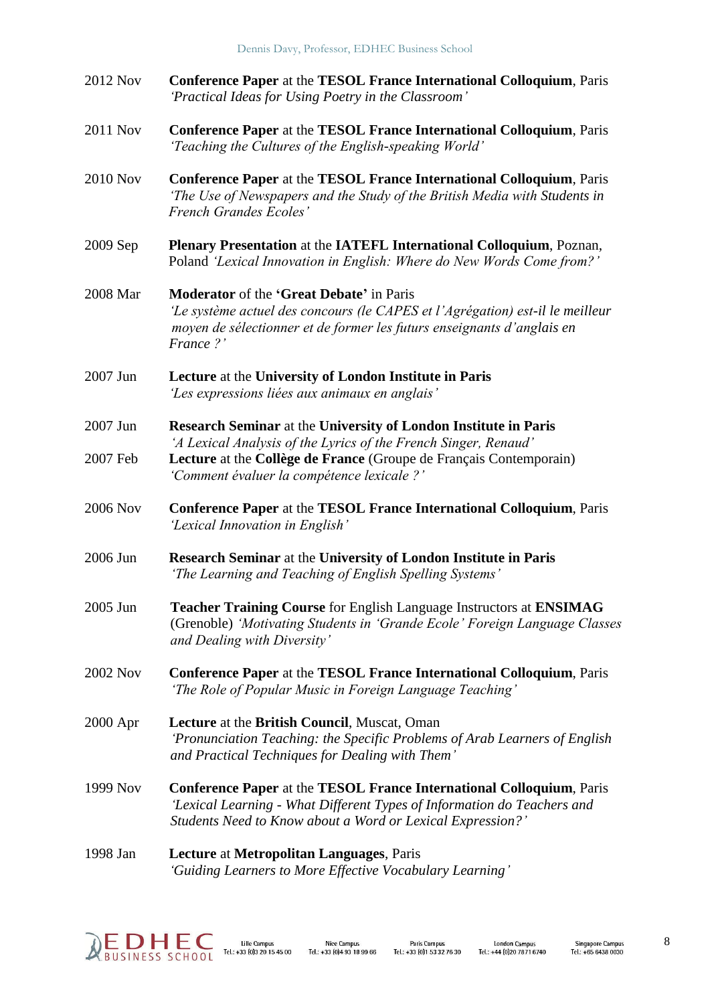| 2012 Nov | Conference Paper at the TESOL France International Colloquium, Paris<br>'Practical Ideas for Using Poetry in the Classroom'                                                                                          |
|----------|----------------------------------------------------------------------------------------------------------------------------------------------------------------------------------------------------------------------|
| 2011 Nov | <b>Conference Paper at the TESOL France International Colloquium, Paris</b><br>'Teaching the Cultures of the English-speaking World'                                                                                 |
| 2010 Nov | <b>Conference Paper at the TESOL France International Colloquium, Paris</b><br>The Use of Newspapers and the Study of the British Media with Students in<br>French Grandes Ecoles'                                   |
| 2009 Sep | <b>Plenary Presentation at the IATEFL International Colloquium, Poznan,</b><br>Poland 'Lexical Innovation in English: Where do New Words Come from?'                                                                 |
| 2008 Mar | Moderator of the 'Great Debate' in Paris<br>'Le système actuel des concours (le CAPES et l'Agrégation) est-il le meilleur<br>moyen de sélectionner et de former les futurs enseignants d'anglais en<br>France?'      |
| 2007 Jun | Lecture at the University of London Institute in Paris<br>'Les expressions liées aux animaux en anglais'                                                                                                             |
| 2007 Jun | Research Seminar at the University of London Institute in Paris                                                                                                                                                      |
| 2007 Feb | 'A Lexical Analysis of the Lyrics of the French Singer, Renaud'<br>Lecture at the Collège de France (Groupe de Français Contemporain)<br>'Comment évaluer la compétence lexicale ?'                                  |
| 2006 Nov | <b>Conference Paper at the TESOL France International Colloquium, Paris</b><br>'Lexical Innovation in English'                                                                                                       |
| 2006 Jun | <b>Research Seminar</b> at the University of London Institute in Paris<br>'The Learning and Teaching of English Spelling Systems'                                                                                    |
| 2005 Jun | Teacher Training Course for English Language Instructors at ENSIMAG<br>(Grenoble) 'Motivating Students in 'Grande Ecole' Foreign Language Classes<br>and Dealing with Diversity'                                     |
| 2002 Nov | <b>Conference Paper at the TESOL France International Colloquium, Paris</b><br>'The Role of Popular Music in Foreign Language Teaching'                                                                              |
| 2000 Apr | <b>Lecture at the British Council, Muscat, Oman</b><br>'Pronunciation Teaching: the Specific Problems of Arab Learners of English<br>and Practical Techniques for Dealing with Them'                                 |
| 1999 Nov | <b>Conference Paper at the TESOL France International Colloquium, Paris</b><br>'Lexical Learning - What Different Types of Information do Teachers and<br>Students Need to Know about a Word or Lexical Expression?' |
| 1998 Jan | Lecture at Metropolitan Languages, Paris                                                                                                                                                                             |

*'Guiding Learners to More Effective Vocabulary Learning'*

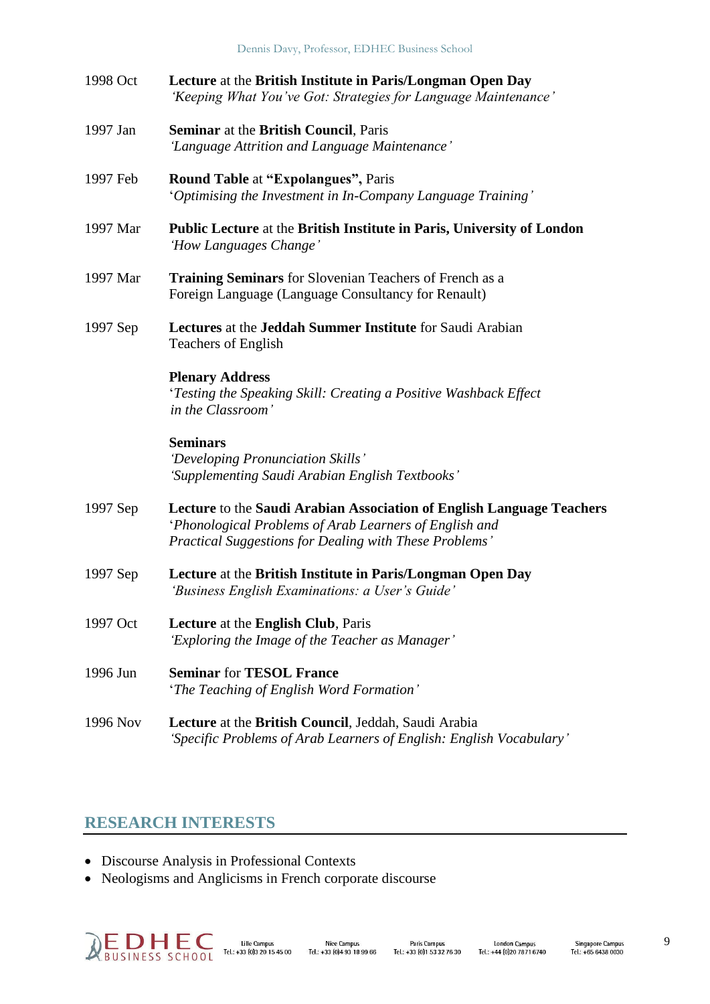Dennis Davy, Professor, EDHEC Business School

| 1998 Oct | Lecture at the British Institute in Paris/Longman Open Day     |
|----------|----------------------------------------------------------------|
|          | 'Keeping What You've Got: Strategies for Language Maintenance' |

- 1997 Jan **Seminar** at the **British Council**, Paris *'Language Attrition and Language Maintenance'*
- 1997 Feb **Round Table** at **"Expolangues",** Paris '*Optimising the Investment in In-Company Language Training'*
- 1997 Mar **Public Lecture** at the **British Institute in Paris, University of London** *'How Languages Change'*
- 1997 Mar **Training Seminars** for Slovenian Teachers of French as a Foreign Language (Language Consultancy for Renault)
- 1997 Sep **Lectures** at the **Jeddah Summer Institute** for Saudi Arabian Teachers of English

## **Plenary Address**

'*Testing the Speaking Skill: Creating a Positive Washback Effect in the Classroom'*

## **Seminars**

*'Developing Pronunciation Skills' 'Supplementing Saudi Arabian English Textbooks'*

- 1997 Sep **Lecture** to the **Saudi Arabian Association of English Language Teachers** '*Phonological Problems of Arab Learners of English and Practical Suggestions for Dealing with These Problems'*
- 1997 Sep **Lecture** at the **British Institute in Paris/Longman Open Day** *'Business English Examinations: a User's Guide'*
- 1997 Oct **Lecture** at the **English Club**, Paris *'Exploring the Image of the Teacher as Manager'*
- 1996 Jun **Seminar** for **TESOL France** '*The Teaching of English Word Formation'*
- 1996 Nov **Lecture** at the **British Council**, Jeddah, Saudi Arabia *'Specific Problems of Arab Learners of English: English Vocabulary'*

# **RESEARCH INTERESTS**

- Discourse Analysis in Professional Contexts
- Neologisms and Anglicisms in French corporate discourse

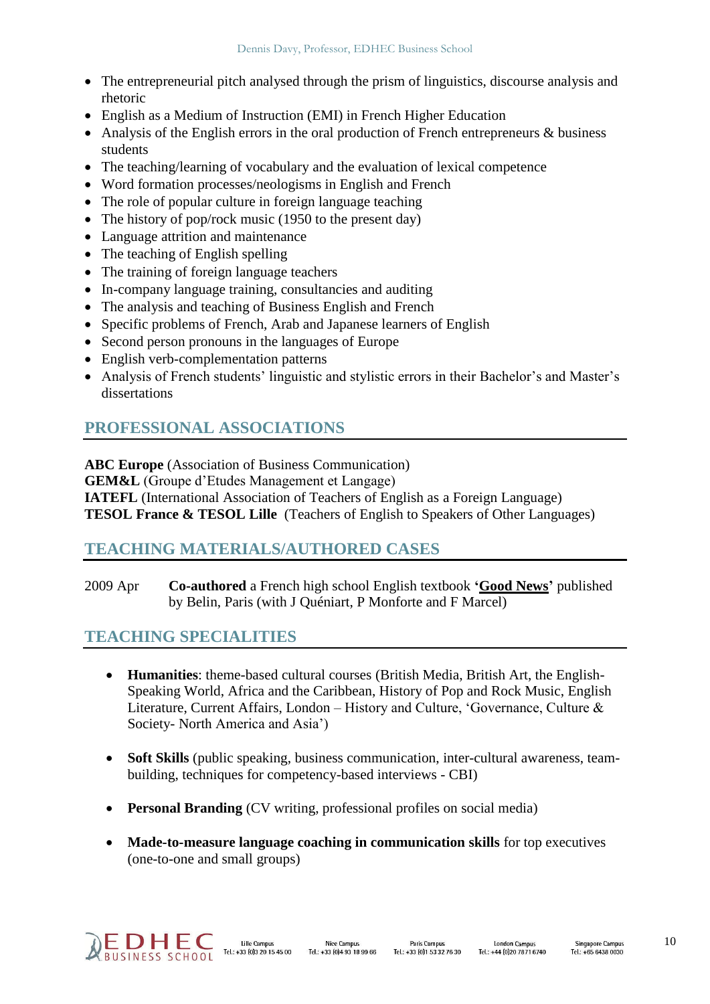- The entrepreneurial pitch analysed through the prism of linguistics, discourse analysis and rhetoric
- English as a Medium of Instruction (EMI) in French Higher Education
- Analysis of the English errors in the oral production of French entrepreneurs & business students
- The teaching/learning of vocabulary and the evaluation of lexical competence
- Word formation processes/neologisms in English and French
- The role of popular culture in foreign language teaching
- The history of pop/rock music (1950 to the present day)
- Language attrition and maintenance
- The teaching of English spelling
- The training of foreign language teachers
- In-company language training, consultancies and auditing
- The analysis and teaching of Business English and French
- Specific problems of French, Arab and Japanese learners of English
- Second person pronouns in the languages of Europe
- English verb-complementation patterns
- Analysis of French students' linguistic and stylistic errors in their Bachelor's and Master's dissertations

# **PROFESSIONAL ASSOCIATIONS**

**ABC Europe** (Association of Business Communication) **GEM&L** (Groupe d'Etudes Management et Langage) **IATEFL** (International Association of Teachers of English as a Foreign Language) **TESOL France & TESOL Lille** (Teachers of English to Speakers of Other Languages)

## **TEACHING MATERIALS/AUTHORED CASES**

2009 Apr **Co-authored** a French high school English textbook **'Good News'** published by Belin, Paris (with J Quéniart, P Monforte and F Marcel)

# **TEACHING SPECIALITIES**

- **Humanities**: theme-based cultural courses (British Media, British Art, the English-Speaking World, Africa and the Caribbean, History of Pop and Rock Music, English Literature, Current Affairs, London – History and Culture, 'Governance, Culture & Society- North America and Asia')
- **Soft Skills** (public speaking, business communication, inter-cultural awareness, teambuilding, techniques for competency-based interviews - CBI)
- **Personal Branding** (CV writing, professional profiles on social media)
- **Made-to-measure language coaching in communication skills** for top executives (one-to-one and small groups)